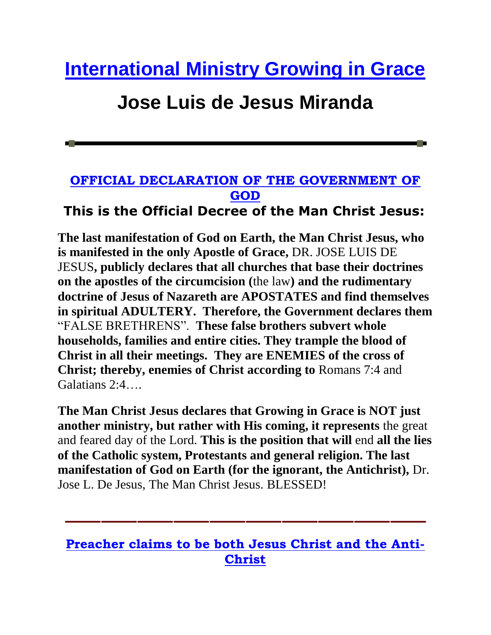# **[International Ministry Growing in Grace](http://www.cegenglish.com/)**

## **Jose Luis de Jesus Miranda**

#### **[OFFICIAL DECLARATION OF THE GOVERNMENT OF](http://www.cegenglish.com/index.php?option=com_content&view=article&id=44&Itemid=37)  [GOD](http://www.cegenglish.com/index.php?option=com_content&view=article&id=44&Itemid=37)**

#### **This is the Official Decree of the Man Christ Jesus:**

**The last manifestation of God on Earth, the Man Christ Jesus, who is manifested in the only Apostle of Grace,** DR. JOSE LUIS DE JESUS**, publicly declares that all churches that base their doctrines on the apostles of the circumcision (**the law**) and the rudimentary doctrine of Jesus of Nazareth are APOSTATES and find themselves in spiritual ADULTERY. Therefore, the Government declares them**  "FALSE BRETHRENS". **These false brothers subvert whole households, families and entire cities. They trample the blood of Christ in all their meetings. They are ENEMIES of the cross of Christ; thereby, enemies of Christ according to** Romans 7:4 and Galatians 2:4….

**The Man Christ Jesus declares that Growing in Grace is NOT just another ministry, but rather with His coming, it represents** the great and feared day of the Lord. **This is the position that will** end **all the lies of the Catholic system, Protestants and general religion. The last manifestation of God on Earth (for the ignorant, the Antichrist),** Dr. Jose L. De Jesus, The Man Christ Jesus. BLESSED!

#### **[Preacher claims to be both Jesus Christ and the Anti-](http://www.religionnewsblog.com/23414/jose-luis-de-jesus-miranda-21)[Christ](http://www.religionnewsblog.com/23414/jose-luis-de-jesus-miranda-21)**